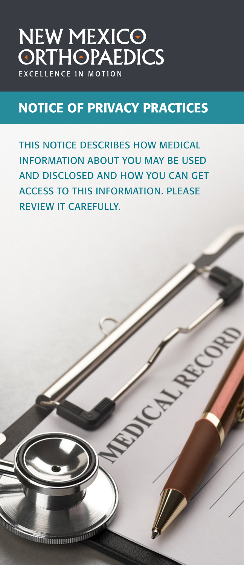# **NEW MEXICO** ORTHOPAEDICS **EXCELLENCE IN MOTION**

**MATT** 

# **NOTICE OF PRIVACY PRACTICES**

THIS NOTICE DESCRIBES HOW MEDICAL INFORMATION ABOUT YOU MAY BE USED AND DISCLOSED AND HOW YOU CAN GET ACCESS TO THIS INFORMATION. PLEASE REVIEW IT CAREFULLY.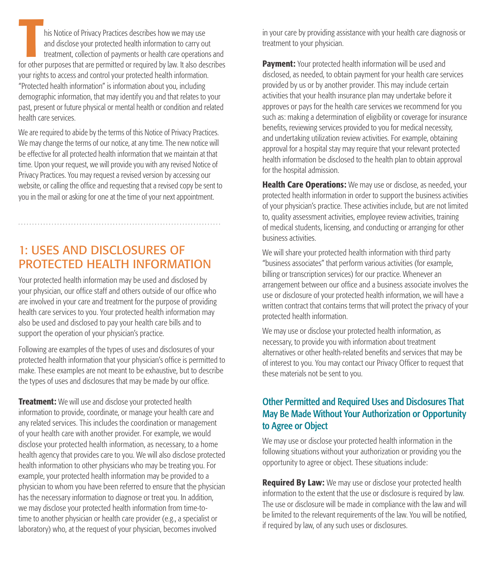his Notice of Privacy Practices describes how we may use<br>
and disclose your protected health information to carry out<br>
treatment, collection of payments or health care operations and<br>
for other purposes that are permitted and disclose your protected health information to carry out treatment, collection of payments or health care operations and your rights to access and control your protected health information. "Protected health information" is information about you, including demographic information, that may identify you and that relates to your past, present or future physical or mental health or condition and related health care services.

We are required to abide by the terms of this Notice of Privacy Practices. We may change the terms of our notice, at any time. The new notice will be effective for all protected health information that we maintain at that time. Upon your request, we will provide you with any revised Notice of Privacy Practices. You may request a revised version by accessing our website, or calling the office and requesting that a revised copy be sent to you in the mail or asking for one at the time of your next appointment.

## 1: USES AND DISCLOSURES OF PROTECTED HEALTH INFORMATION

Your protected health information may be used and disclosed by your physician, our office staff and others outside of our office who are involved in your care and treatment for the purpose of providing health care services to you. Your protected health information may also be used and disclosed to pay your health care bills and to support the operation of your physician's practice.

Following are examples of the types of uses and disclosures of your protected health information that your physician's office is permitted to make. These examples are not meant to be exhaustive, but to describe the types of uses and disclosures that may be made by our office.

**Treatment:** We will use and disclose your protected health information to provide, coordinate, or manage your health care and any related services. This includes the coordination or management of your health care with another provider. For example, we would disclose your protected health information, as necessary, to a home health agency that provides care to you. We will also disclose protected health information to other physicians who may be treating you. For example, your protected health information may be provided to a physician to whom you have been referred to ensure that the physician has the necessary information to diagnose or treat you. In addition, we may disclose your protected health information from time-totime to another physician or health care provider (e.g., a specialist or laboratory) who, at the request of your physician, becomes involved

in your care by providing assistance with your health care diagnosis or treatment to your physician.

Payment: Your protected health information will be used and disclosed, as needed, to obtain payment for your health care services provided by us or by another provider. This may include certain activities that your health insurance plan may undertake before it approves or pays for the health care services we recommend for you such as: making a determination of eligibility or coverage for insurance benefits, reviewing services provided to you for medical necessity, and undertaking utilization review activities. For example, obtaining approval for a hospital stay may require that your relevant protected health information be disclosed to the health plan to obtain approval for the hospital admission.

Health Care Operations: We may use or disclose, as needed, your protected health information in order to support the business activities of your physician's practice. These activities include, but are not limited to, quality assessment activities, employee review activities, training of medical students, licensing, and conducting or arranging for other business activities.

We will share your protected health information with third party "business associates" that perform various activities (for example, billing or transcription services) for our practice. Whenever an arrangement between our office and a business associate involves the use or disclosure of your protected health information, we will have a written contract that contains terms that will protect the privacy of your protected health information.

We may use or disclose your protected health information, as necessary, to provide you with information about treatment alternatives or other health-related benefits and services that may be of interest to you. You may contact our Privacy Officer to request that these materials not be sent to you.

### Other Permitted and Required Uses and Disclosures That May Be Made Without Your Authorization or Opportunity to Agree or Object

We may use or disclose your protected health information in the following situations without your authorization or providing you the opportunity to agree or object. These situations include:

**Required By Law:** We may use or disclose your protected health information to the extent that the use or disclosure is required by law. The use or disclosure will be made in compliance with the law and will be limited to the relevant requirements of the law. You will be notified, if required by law, of any such uses or disclosures.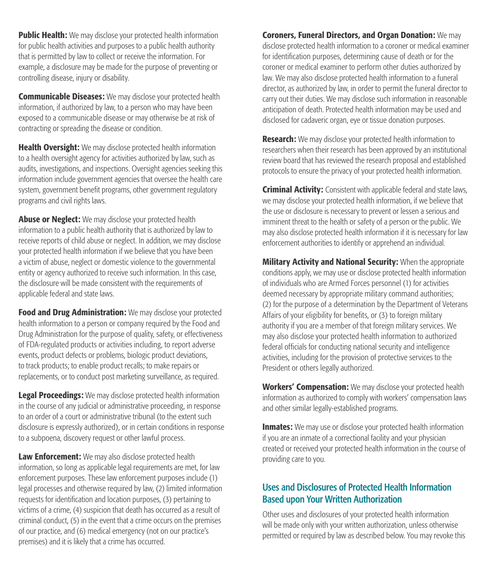**Public Health:** We may disclose your protected health information for public health activities and purposes to a public health authority that is permitted by law to collect or receive the information. For example, a disclosure may be made for the purpose of preventing or controlling disease, injury or disability.

**Communicable Diseases:** We may disclose your protected health information, if authorized by law, to a person who may have been exposed to a communicable disease or may otherwise be at risk of contracting or spreading the disease or condition.

Health Oversight: We may disclose protected health information to a health oversight agency for activities authorized by law, such as audits, investigations, and inspections. Oversight agencies seeking this information include government agencies that oversee the health care system, government benefit programs, other government regulatory programs and civil rights laws.

Abuse or Neglect: We may disclose your protected health information to a public health authority that is authorized by law to receive reports of child abuse or neglect. In addition, we may disclose your protected health information if we believe that you have been a victim of abuse, neglect or domestic violence to the governmental entity or agency authorized to receive such information. In this case, the disclosure will be made consistent with the requirements of applicable federal and state laws.

Food and Drug Administration: We may disclose your protected health information to a person or company required by the Food and Drug Administration for the purpose of quality, safety, or effectiveness of FDA-regulated products or activities including, to report adverse events, product defects or problems, biologic product deviations, to track products; to enable product recalls; to make repairs or replacements, or to conduct post marketing surveillance, as required.

Legal Proceedings: We may disclose protected health information in the course of any judicial or administrative proceeding, in response to an order of a court or administrative tribunal (to the extent such disclosure is expressly authorized), or in certain conditions in response to a subpoena, discovery request or other lawful process.

Law Enforcement: We may also disclose protected health information, so long as applicable legal requirements are met, for law enforcement purposes. These law enforcement purposes include (1) legal processes and otherwise required by law, (2) limited information requests for identification and location purposes, (3) pertaining to victims of a crime, (4) suspicion that death has occurred as a result of criminal conduct, (5) in the event that a crime occurs on the premises of our practice, and (6) medical emergency (not on our practice's premises) and it is likely that a crime has occurred.

Coroners, Funeral Directors, and Organ Donation: We may disclose protected health information to a coroner or medical examiner for identification purposes, determining cause of death or for the coroner or medical examiner to perform other duties authorized by law. We may also disclose protected health information to a funeral director, as authorized by law, in order to permit the funeral director to carry out their duties. We may disclose such information in reasonable anticipation of death. Protected health information may be used and disclosed for cadaveric organ, eye or tissue donation purposes.

**Research:** We may disclose your protected health information to researchers when their research has been approved by an institutional review board that has reviewed the research proposal and established protocols to ensure the privacy of your protected health information.

**Criminal Activity:** Consistent with applicable federal and state laws, we may disclose your protected health information, if we believe that the use or disclosure is necessary to prevent or lessen a serious and imminent threat to the health or safety of a person or the public. We may also disclose protected health information if it is necessary for law enforcement authorities to identify or apprehend an individual.

**Military Activity and National Security:** When the appropriate conditions apply, we may use or disclose protected health information of individuals who are Armed Forces personnel (1) for activities deemed necessary by appropriate military command authorities; (2) for the purpose of a determination by the Department of Veterans Affairs of your eligibility for benefits, or (3) to foreign military authority if you are a member of that foreign military services. We may also disclose your protected health information to authorized federal officials for conducting national security and intelligence activities, including for the provision of protective services to the President or others legally authorized.

Workers' Compensation: We may disclose your protected health information as authorized to comply with workers' compensation laws and other similar legally-established programs.

**Inmates:** We may use or disclose your protected health information if you are an inmate of a correctional facility and your physician created or received your protected health information in the course of providing care to you.

### Uses and Disclosures of Protected Health Information Based upon Your Written Authorization

Other uses and disclosures of your protected health information will be made only with your written authorization, unless otherwise permitted or required by law as described below. You may revoke this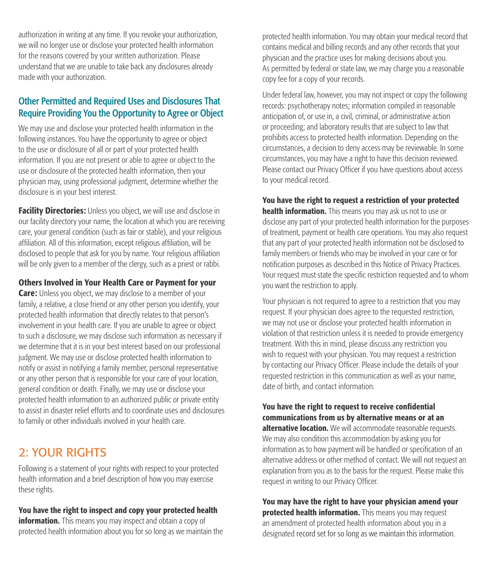authorization in writing at any time. If you revoke your authorization, we will no longer use or disclose your protected health information for the reasons covered by your written authorization. Please understand that we are unable to take back any disclosures already made with your authorization.

### Other Permitted and Required Uses and Disclosures That Require Providing You the Opportunity to Agree or Object

We may use and disclose your protected health information in the following instances. You have the opportunity to agree or object to the use or disclosure of all or part of your protected health information. If you are not present or able to agree or object to the use or disclosure of the protected health information, then your physician may, using professional judgment, determine whether the disclosure is in your best interest.

Facility Directories: Unless you object, we will use and disclose in our facility directory your name, the location at which you are receiving care, your general condition (such as fair or stable), and your religious affiliation. All of this information, except religious affiliation, will be disclosed to people that ask for you by name. Your religious affiliation will be only given to a member of the clergy, such as a priest or rabbi.

#### Others Involved in Your Health Care or Payment for your

**Care:** Unless you object, we may disclose to a member of your family, a relative, a close friend or any other person you identify, your protected health information that directly relates to that person's involvement in your health care. If you are unable to agree or object to such a disclosure, we may disclose such information as necessary if we determine that it is in your best interest based on our professional judgment. We may use or disclose protected health information to notify or assist in notifying a family member, personal representative or any other person that is responsible for your care of your location, general condition or death. Finally, we may use or disclose your protected health information to an authorized public or private entity to assist in disaster relief efforts and to coordinate uses and disclosures to family or other individuals involved in your health care.

# 2: YOUR RIGHTS

Following is a statement of your rights with respect to your protected health information and a brief description of how you may exercise these rights.

#### You have the right to inspect and copy your protected health information. This means you may inspect and obtain a copy of protected health information about you for so long as we maintain the

protected health information. You may obtain your medical record that contains medical and billing records and any other records that your physician and the practice uses for making decisions about you. As permitted by federal or state law, we may charge you a reasonable copy fee for a copy of your records.

Under federal law, however, you may not inspect or copy the following records: psychotherapy notes; information compiled in reasonable anticipation of, or use in, a civil, criminal, or administrative action or proceeding; and laboratory results that are subject to law that prohibits access to protected health information. Depending on the circumstances, a decision to deny access may be reviewable. In some circumstances, you may have a right to have this decision reviewed. Please contact our Privacy Officer if you have questions about access to your medical record.

#### You have the right to request a restriction of your protected

health information. This means you may ask us not to use or disclose any part of your protected health information for the purposes of treatment, payment or health care operations. You may also request that any part of your protected health information not be disclosed to family members or friends who may be involved in your care or for notification purposes as described in this Notice of Privacy Practices. Your request must state the specific restriction requested and to whom you want the restriction to apply.

Your physician is not required to agree to a restriction that you may request. If your physician does agree to the requested restriction, we may not use or disclose your protected health information in violation of that restriction unless it is needed to provide emergency treatment. With this in mind, please discuss any restriction you wish to request with your physician. You may request a restriction by contacting our Privacy Officer. Please include the details of your requested restriction in this communication as well as your name, date of birth, and contact information.

#### You have the right to request to receive confidential communications from us by alternative means or at an

**alternative location.** We will accommodate reasonable requests. We may also condition this accommodation by asking you for information as to how payment will be handled or specification of an alternative address or other method of contact. We will not request an explanation from you as to the basis for the request. Please make this request in writing to our Privacy Officer.

You may have the right to have your physician amend your protected health information. This means you may request an amendment of protected health information about you in a designated record set for so long as we maintain this information.